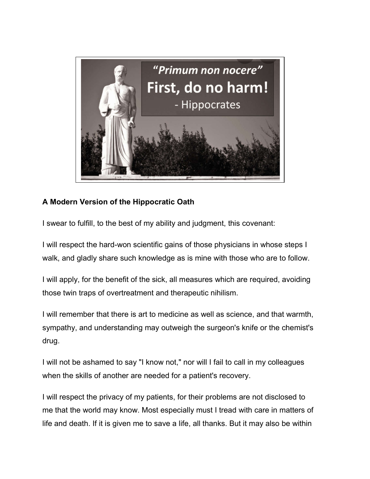

## **A Modern Version of the Hippocratic Oath**

I swear to fulfill, to the best of my ability and judgment, this covenant:

I will respect the hard-won scientific gains of those physicians in whose steps I walk, and gladly share such knowledge as is mine with those who are to follow.

I will apply, for the benefit of the sick, all measures which are required, avoiding those twin traps of overtreatment and therapeutic nihilism.

I will remember that there is art to medicine as well as science, and that warmth, sympathy, and understanding may outweigh the surgeon's knife or the chemist's drug.

I will not be ashamed to say "I know not," nor will I fail to call in my colleagues when the skills of another are needed for a patient's recovery.

I will respect the privacy of my patients, for their problems are not disclosed to me that the world may know. Most especially must I tread with care in matters of life and death. If it is given me to save a life, all thanks. But it may also be within